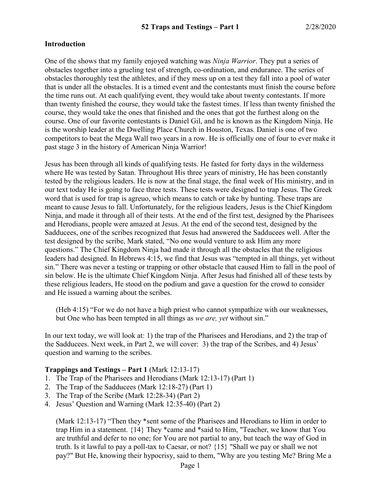### **Introduction**

One of the shows that my family enjoyed watching was *Ninja Warrior*. They put a series of obstacles together into a grueling test of strength, co-ordination, and endurance. The series of obstacles thoroughly test the athletes, and if they mess up on a test they fall into a pool of water that is under all the obstacles. It is a timed event and the contestants must finish the course before the time runs out. At each qualifying event, they would take about twenty contestants. If more than twenty finished the course, they would take the fastest times. If less than twenty finished the course, they would take the ones that finished and the ones that got the furthest along on the course. One of our favorite contestants is Daniel Gil, and he is known as the Kingdom Ninja. He is the worship leader at the Dwelling Place Church in Houston, Texas. Daniel is one of two competitors to beat the Mega Wall two years in a row. He is officially one of four to ever make it past stage 3 in the history of American Ninja Warrior!

Jesus has been through all kinds of qualifying tests. He fasted for forty days in the wilderness where He was tested by Satan. Throughout His three years of ministry, He has been constantly tested by the religious leaders. He is now at the final stage, the final week of His ministry, and in our text today He is going to face three tests. These tests were designed to trap Jesus. The Greek word that is used for trap is agreuo, which means to catch or take by hunting. These traps are meant to cause Jesus to fall. Unfortunately, for the religious leaders, Jesus is the Chief Kingdom Ninja, and made it through all of their tests. At the end of the first test, designed by the Pharisees and Herodians, people were amazed at Jesus. At the end of the second test, designed by the Sadducees, one of the scribes recognized that Jesus had answered the Sadducees well. After the test designed by the scribe, Mark stated, "No one would venture to ask Him any more questions." The Chief Kingdom Ninja had made it through all the obstacles that the religious leaders had designed. In Hebrews 4:15, we find that Jesus was "tempted in all things, yet without sin." There was never a testing or trapping or other obstacle that caused Him to fall in the pool of sin below. He is the ultimate Chief Kingdom Ninja. After Jesus had finished all of these tests by these religious leaders, He stood on the podium and gave a question for the crowd to consider and He issued a warning about the scribes.

(Heb 4:15) "For we do not have a high priest who cannot sympathize with our weaknesses, but One who has been tempted in all things as *we are, yet* without sin."

In our text today, we will look at: 1) the trap of the Pharisees and Herodians, and 2) the trap of the Sadducees. Next week, in Part 2, we will cover: 3) the trap of the Scribes, and 4) Jesus' question and warning to the scribes.

### **Trappings and Testings – Part 1** (Mark 12:13-17)

- 1. The Trap of the Pharisees and Herodians (Mark 12:13-17) (Part 1)
- 2. The Trap of the Sadducees (Mark 12:18-27) (Part 1)
- 3. The Trap of the Scribe (Mark 12:28-34) (Part 2)
- 4. Jesus' Question and Warning (Mark 12:35-40) (Part 2)

(Mark 12:13-17) "Then they \*sent some of the Pharisees and Herodians to Him in order to trap Him in a statement. {14} They \*came and \*said to Him, "Teacher, we know that You are truthful and defer to no one; for You are not partial to any, but teach the way of God in truth. Is it lawful to pay a poll-tax to Caesar, or not? {15} "Shall we pay or shall we not pay?" But He, knowing their hypocrisy, said to them, "Why are you testing Me? Bring Me a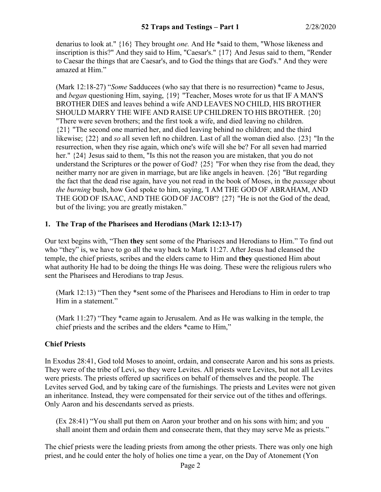denarius to look at." {16} They brought *one.* And He \*said to them, "Whose likeness and inscription is this?" And they said to Him, "Caesar's." {17} And Jesus said to them, "Render to Caesar the things that are Caesar's, and to God the things that are God's." And they were amazed at Him."

(Mark 12:18-27) "*Some* Sadducees (who say that there is no resurrection) \*came to Jesus, and *began* questioning Him, saying, {19} "Teacher, Moses wrote for us that IF A MAN'S BROTHER DIES and leaves behind a wife AND LEAVES NO CHILD, HIS BROTHER SHOULD MARRY THE WIFE AND RAISE UP CHILDREN TO HIS BROTHER. {20} "There were seven brothers; and the first took a wife, and died leaving no children. {21} "The second one married her, and died leaving behind no children; and the third likewise; {22} and *so* all seven left no children. Last of all the woman died also. {23} "In the resurrection, when they rise again, which one's wife will she be? For all seven had married her." {24} Jesus said to them, "Is this not the reason you are mistaken, that you do not understand the Scriptures or the power of God? {25} "For when they rise from the dead, they neither marry nor are given in marriage, but are like angels in heaven. {26} "But regarding the fact that the dead rise again, have you not read in the book of Moses, in the *passage* about *the burning* bush, how God spoke to him, saying, 'I AM THE GOD OF ABRAHAM, AND THE GOD OF ISAAC, AND THE GOD OF JACOB'? {27} "He is not the God of the dead, but of the living; you are greatly mistaken."

# **1. The Trap of the Pharisees and Herodians (Mark 12:13-17)**

Our text begins with, "Then **they** sent some of the Pharisees and Herodians to Him." To find out who "they" is, we have to go all the way back to Mark 11:27. After Jesus had cleansed the temple, the chief priests, scribes and the elders came to Him and **they** questioned Him about what authority He had to be doing the things He was doing. These were the religious rulers who sent the Pharisees and Herodians to trap Jesus.

(Mark 12:13) "Then they \*sent some of the Pharisees and Herodians to Him in order to trap Him in a statement."

(Mark 11:27) "They \*came again to Jerusalem. And as He was walking in the temple, the chief priests and the scribes and the elders \*came to Him,"

## **Chief Priests**

In Exodus 28:41, God told Moses to anoint, ordain, and consecrate Aaron and his sons as priests. They were of the tribe of Levi, so they were Levites. All priests were Levites, but not all Levites were priests. The priests offered up sacrifices on behalf of themselves and the people. The Levites served God, and by taking care of the furnishings. The priests and Levites were not given an inheritance. Instead, they were compensated for their service out of the tithes and offerings. Only Aaron and his descendants served as priests.

(Ex 28:41) "You shall put them on Aaron your brother and on his sons with him; and you shall anoint them and ordain them and consecrate them, that they may serve Me as priests."

The chief priests were the leading priests from among the other priests. There was only one high priest, and he could enter the holy of holies one time a year, on the Day of Atonement (Yon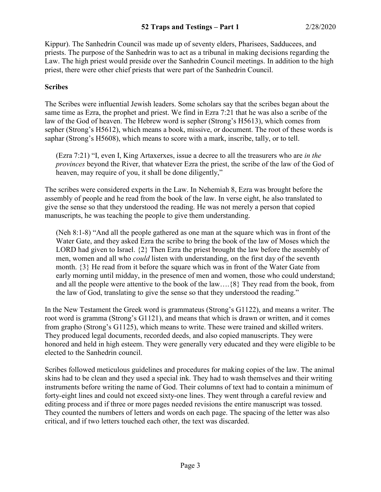Kippur). The Sanhedrin Council was made up of seventy elders, Pharisees, Sadducees, and priests. The purpose of the Sanhedrin was to act as a tribunal in making decisions regarding the Law. The high priest would preside over the Sanhedrin Council meetings. In addition to the high priest, there were other chief priests that were part of the Sanhedrin Council.

### **Scribes**

The Scribes were influential Jewish leaders. Some scholars say that the scribes began about the same time as Ezra, the prophet and priest. We find in Ezra 7:21 that he was also a scribe of the law of the God of heaven. The Hebrew word is sepher (Strong's H5613), which comes from sepher (Strong's H5612), which means a book, missive, or document. The root of these words is saphar (Strong's H5608), which means to score with a mark, inscribe, tally, or to tell.

(Ezra 7:21) "I, even I, King Artaxerxes, issue a decree to all the treasurers who are *in the provinces* beyond the River, that whatever Ezra the priest, the scribe of the law of the God of heaven, may require of you, it shall be done diligently,"

The scribes were considered experts in the Law. In Nehemiah 8, Ezra was brought before the assembly of people and he read from the book of the law. In verse eight, he also translated to give the sense so that they understood the reading. He was not merely a person that copied manuscripts, he was teaching the people to give them understanding.

(Neh 8:1-8) "And all the people gathered as one man at the square which was in front of the Water Gate, and they asked Ezra the scribe to bring the book of the law of Moses which the LORD had given to Israel. {2} Then Ezra the priest brought the law before the assembly of men, women and all who *could* listen with understanding, on the first day of the seventh month. {3} He read from it before the square which was in front of the Water Gate from early morning until midday, in the presence of men and women, those who could understand; and all the people were attentive to the book of the law….{8} They read from the book, from the law of God, translating to give the sense so that they understood the reading."

In the New Testament the Greek word is grammateus (Strong's G1122), and means a writer. The root word is gramma (Strong's G1121), and means that which is drawn or written, and it comes from grapho (Strong's G1125), which means to write. These were trained and skilled writers. They produced legal documents, recorded deeds, and also copied manuscripts. They were honored and held in high esteem. They were generally very educated and they were eligible to be elected to the Sanhedrin council.

Scribes followed meticulous guidelines and procedures for making copies of the law. The animal skins had to be clean and they used a special ink. They had to wash themselves and their writing instruments before writing the name of God. Their columns of text had to contain a minimum of forty-eight lines and could not exceed sixty-one lines. They went through a careful review and editing process and if three or more pages needed revisions the entire manuscript was tossed. They counted the numbers of letters and words on each page. The spacing of the letter was also critical, and if two letters touched each other, the text was discarded.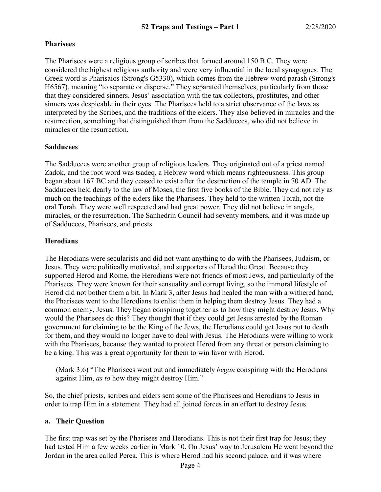## **Pharisees**

The Pharisees were a religious group of scribes that formed around 150 B.C. They were considered the highest religious authority and were very influential in the local synagogues. The Greek word is Pharisaios (Strong's G5330), which comes from the Hebrew word parash (Strong's H6567), meaning "to separate or disperse." They separated themselves, particularly from those that they considered sinners. Jesus' association with the tax collectors, prostitutes, and other sinners was despicable in their eyes. The Pharisees held to a strict observance of the laws as interpreted by the Scribes, and the traditions of the elders. They also believed in miracles and the resurrection, something that distinguished them from the Sadducees, who did not believe in miracles or the resurrection.

## **Sadducees**

The Sadducees were another group of religious leaders. They originated out of a priest named Zadok, and the root word was tsadeq, a Hebrew word which means righteousness. This group began about 167 BC and they ceased to exist after the destruction of the temple in 70 AD. The Sadducees held dearly to the law of Moses, the first five books of the Bible. They did not rely as much on the teachings of the elders like the Pharisees. They held to the written Torah, not the oral Torah. They were well respected and had great power. They did not believe in angels, miracles, or the resurrection. The Sanhedrin Council had seventy members, and it was made up of Sadducees, Pharisees, and priests.

# **Herodians**

The Herodians were secularists and did not want anything to do with the Pharisees, Judaism, or Jesus. They were politically motivated, and supporters of Herod the Great. Because they supported Herod and Rome, the Herodians were not friends of most Jews, and particularly of the Pharisees. They were known for their sensuality and corrupt living, so the immoral lifestyle of Herod did not bother them a bit. In Mark 3, after Jesus had healed the man with a withered hand, the Pharisees went to the Herodians to enlist them in helping them destroy Jesus. They had a common enemy, Jesus. They began conspiring together as to how they might destroy Jesus. Why would the Pharisees do this? They thought that if they could get Jesus arrested by the Roman government for claiming to be the King of the Jews, the Herodians could get Jesus put to death for them, and they would no longer have to deal with Jesus. The Herodians were willing to work with the Pharisees, because they wanted to protect Herod from any threat or person claiming to be a king. This was a great opportunity for them to win favor with Herod.

(Mark 3:6) "The Pharisees went out and immediately *began* conspiring with the Herodians against Him, *as to* how they might destroy Him."

So, the chief priests, scribes and elders sent some of the Pharisees and Herodians to Jesus in order to trap Him in a statement. They had all joined forces in an effort to destroy Jesus.

## **a. Their Question**

The first trap was set by the Pharisees and Herodians. This is not their first trap for Jesus; they had tested Him a few weeks earlier in Mark 10. On Jesus' way to Jerusalem He went beyond the Jordan in the area called Perea. This is where Herod had his second palace, and it was where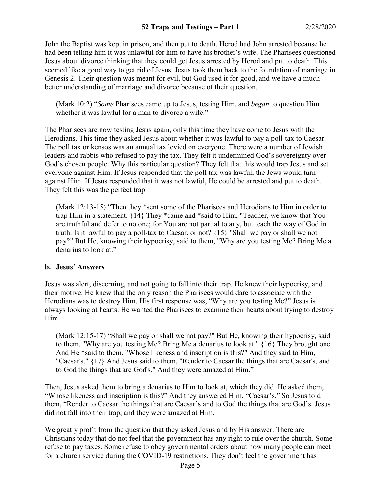John the Baptist was kept in prison, and then put to death. Herod had John arrested because he had been telling him it was unlawful for him to have his brother's wife. The Pharisees questioned Jesus about divorce thinking that they could get Jesus arrested by Herod and put to death. This seemed like a good way to get rid of Jesus. Jesus took them back to the foundation of marriage in Genesis 2. Their question was meant for evil, but God used it for good, and we have a much better understanding of marriage and divorce because of their question.

(Mark 10:2) "*Some* Pharisees came up to Jesus, testing Him, and *began* to question Him whether it was lawful for a man to divorce a wife."

The Pharisees are now testing Jesus again, only this time they have come to Jesus with the Herodians. This time they asked Jesus about whether it was lawful to pay a poll-tax to Caesar. The poll tax or kensos was an annual tax levied on everyone. There were a number of Jewish leaders and rabbis who refused to pay the tax. They felt it undermined God's sovereignty over God's chosen people. Why this particular question? They felt that this would trap Jesus and set everyone against Him. If Jesus responded that the poll tax was lawful, the Jews would turn against Him. If Jesus responded that it was not lawful, He could be arrested and put to death. They felt this was the perfect trap.

(Mark 12:13-15) "Then they \*sent some of the Pharisees and Herodians to Him in order to trap Him in a statement. {14} They \*came and \*said to Him, "Teacher, we know that You are truthful and defer to no one; for You are not partial to any, but teach the way of God in truth. Is it lawful to pay a poll-tax to Caesar, or not? {15} "Shall we pay or shall we not pay?" But He, knowing their hypocrisy, said to them, "Why are you testing Me? Bring Me a denarius to look at."

### **b. Jesus' Answers**

Jesus was alert, discerning, and not going to fall into their trap. He knew their hypocrisy, and their motive. He knew that the only reason the Pharisees would dare to associate with the Herodians was to destroy Him. His first response was, "Why are you testing Me?" Jesus is always looking at hearts. He wanted the Pharisees to examine their hearts about trying to destroy Him.

(Mark 12:15-17) "Shall we pay or shall we not pay?" But He, knowing their hypocrisy, said to them, "Why are you testing Me? Bring Me a denarius to look at." {16} They brought one. And He \*said to them, "Whose likeness and inscription is this?" And they said to Him, "Caesar's." {17} And Jesus said to them, "Render to Caesar the things that are Caesar's, and to God the things that are God's." And they were amazed at Him."

Then, Jesus asked them to bring a denarius to Him to look at, which they did. He asked them, "Whose likeness and inscription is this?" And they answered Him, "Caesar's." So Jesus told them, "Render to Caesar the things that are Caesar's and to God the things that are God's. Jesus did not fall into their trap, and they were amazed at Him.

We greatly profit from the question that they asked Jesus and by His answer. There are Christians today that do not feel that the government has any right to rule over the church. Some refuse to pay taxes. Some refuse to obey governmental orders about how many people can meet for a church service during the COVID-19 restrictions. They don't feel the government has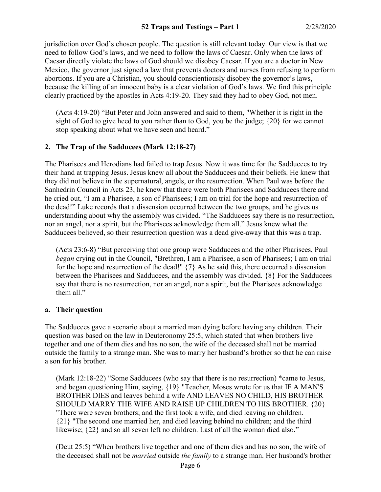jurisdiction over God's chosen people. The question is still relevant today. Our view is that we need to follow God's laws, and we need to follow the laws of Caesar. Only when the laws of Caesar directly violate the laws of God should we disobey Caesar. If you are a doctor in New Mexico, the governor just signed a law that prevents doctors and nurses from refusing to perform abortions. If you are a Christian, you should conscientiously disobey the governor's laws, because the killing of an innocent baby is a clear violation of God's laws. We find this principle clearly practiced by the apostles in Acts 4:19-20. They said they had to obey God, not men.

(Acts 4:19-20) "But Peter and John answered and said to them, "Whether it is right in the sight of God to give heed to you rather than to God, you be the judge; {20} for we cannot stop speaking about what we have seen and heard."

### **2. The Trap of the Sadducees (Mark 12:18-27)**

The Pharisees and Herodians had failed to trap Jesus. Now it was time for the Sadducees to try their hand at trapping Jesus. Jesus knew all about the Sadducees and their beliefs. He knew that they did not believe in the supernatural, angels, or the resurrection. When Paul was before the Sanhedrin Council in Acts 23, he knew that there were both Pharisees and Sadducees there and he cried out, "I am a Pharisee, a son of Pharisees; I am on trial for the hope and resurrection of the dead!" Luke records that a dissension occurred between the two groups, and he gives us understanding about why the assembly was divided. "The Sadducees say there is no resurrection, nor an angel, nor a spirit, but the Pharisees acknowledge them all." Jesus knew what the Sadducees believed, so their resurrection question was a dead give-away that this was a trap.

(Acts 23:6-8) "But perceiving that one group were Sadducees and the other Pharisees, Paul *began* crying out in the Council, "Brethren, I am a Pharisee, a son of Pharisees; I am on trial for the hope and resurrection of the dead!" {7} As he said this, there occurred a dissension between the Pharisees and Sadducees, and the assembly was divided. {8} For the Sadducees say that there is no resurrection, nor an angel, nor a spirit, but the Pharisees acknowledge them all."

### **a. Their question**

The Sadducees gave a scenario about a married man dying before having any children. Their question was based on the law in Deuteronomy 25:5, which stated that when brothers live together and one of them dies and has no son, the wife of the deceased shall not be married outside the family to a strange man. She was to marry her husband's brother so that he can raise a son for his brother.

(Mark 12:18-22) "Some Sadducees (who say that there is no resurrection) \*came to Jesus, and began questioning Him, saying, {19} "Teacher, Moses wrote for us that IF A MAN'S BROTHER DIES and leaves behind a wife AND LEAVES NO CHILD, HIS BROTHER SHOULD MARRY THE WIFE AND RAISE UP CHILDREN TO HIS BROTHER. {20} "There were seven brothers; and the first took a wife, and died leaving no children. {21} "The second one married her, and died leaving behind no children; and the third likewise; {22} and so all seven left no children. Last of all the woman died also."

(Deut 25:5) "When brothers live together and one of them dies and has no son, the wife of the deceased shall not be *married* outside *the family* to a strange man. Her husband's brother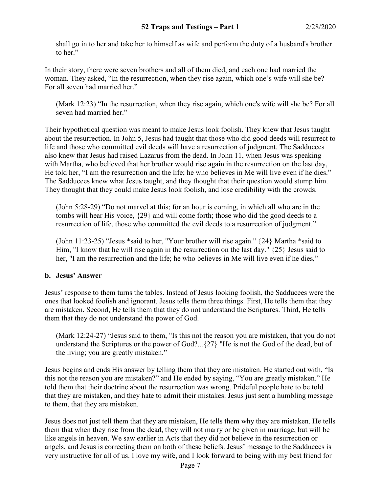shall go in to her and take her to himself as wife and perform the duty of a husband's brother to her."

In their story, there were seven brothers and all of them died, and each one had married the woman. They asked, "In the resurrection, when they rise again, which one's wife will she be? For all seven had married her."

(Mark 12:23) "In the resurrection, when they rise again, which one's wife will she be? For all seven had married her."

Their hypothetical question was meant to make Jesus look foolish. They knew that Jesus taught about the resurrection. In John 5, Jesus had taught that those who did good deeds will resurrect to life and those who committed evil deeds will have a resurrection of judgment. The Sadducees also knew that Jesus had raised Lazarus from the dead. In John 11, when Jesus was speaking with Martha, who believed that her brother would rise again in the resurrection on the last day, He told her, "I am the resurrection and the life; he who believes in Me will live even if he dies." The Sadducees knew what Jesus taught, and they thought that their question would stump him. They thought that they could make Jesus look foolish, and lose credibility with the crowds.

(John 5:28-29) "Do not marvel at this; for an hour is coming, in which all who are in the tombs will hear His voice, {29} and will come forth; those who did the good deeds to a resurrection of life, those who committed the evil deeds to a resurrection of judgment."

(John 11:23-25) "Jesus \*said to her, "Your brother will rise again." {24} Martha \*said to Him, "I know that he will rise again in the resurrection on the last day." {25} Jesus said to her, "I am the resurrection and the life; he who believes in Me will live even if he dies,"

## **b. Jesus' Answer**

Jesus' response to them turns the tables. Instead of Jesus looking foolish, the Sadducees were the ones that looked foolish and ignorant. Jesus tells them three things. First, He tells them that they are mistaken. Second, He tells them that they do not understand the Scriptures. Third, He tells them that they do not understand the power of God.

(Mark 12:24-27) "Jesus said to them, "Is this not the reason you are mistaken, that you do not understand the Scriptures or the power of God?...{27} "He is not the God of the dead, but of the living; you are greatly mistaken."

Jesus begins and ends His answer by telling them that they are mistaken. He started out with, "Is this not the reason you are mistaken?" and He ended by saying, "You are greatly mistaken." He told them that their doctrine about the resurrection was wrong. Prideful people hate to be told that they are mistaken, and they hate to admit their mistakes. Jesus just sent a humbling message to them, that they are mistaken.

Jesus does not just tell them that they are mistaken, He tells them why they are mistaken. He tells them that when they rise from the dead, they will not marry or be given in marriage, but will be like angels in heaven. We saw earlier in Acts that they did not believe in the resurrection or angels, and Jesus is correcting them on both of these beliefs. Jesus' message to the Sadducees is very instructive for all of us. I love my wife, and I look forward to being with my best friend for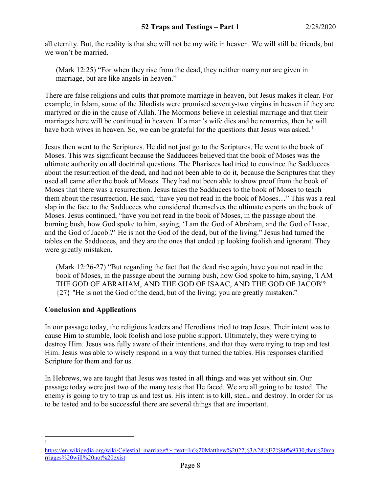all eternity. But, the reality is that she will not be my wife in heaven. We will still be friends, but we won't be married.

(Mark 12:25) "For when they rise from the dead, they neither marry nor are given in marriage, but are like angels in heaven."

There are false religions and cults that promote marriage in heaven, but Jesus makes it clear. For example, in Islam, some of the Jihadists were promised seventy-two virgins in heaven if they are martyred or die in the cause of Allah. The Mormons believe in celestial marriage and that their marriages here will be continued in heaven. If a man's wife dies and he remarries, then he will have both wives in heaven. So, we can be grateful for the questions that Jesus was asked.<sup>[1](#page-7-0)</sup>

Jesus then went to the Scriptures. He did not just go to the Scriptures, He went to the book of Moses. This was significant because the Sadducees believed that the book of Moses was the ultimate authority on all doctrinal questions. The Pharisees had tried to convince the Sadducees about the resurrection of the dead, and had not been able to do it, because the Scriptures that they used all came after the book of Moses. They had not been able to show proof from the book of Moses that there was a resurrection. Jesus takes the Sadducees to the book of Moses to teach them about the resurrection. He said, "have you not read in the book of Moses…" This was a real slap in the face to the Sadducees who considered themselves the ultimate experts on the book of Moses. Jesus continued, "have you not read in the book of Moses, in the passage about the burning bush, how God spoke to him, saying, 'I am the God of Abraham, and the God of Isaac, and the God of Jacob.?' He is not the God of the dead, but of the living." Jesus had turned the tables on the Sadducees, and they are the ones that ended up looking foolish and ignorant. They were greatly mistaken.

(Mark 12:26-27) "But regarding the fact that the dead rise again, have you not read in the book of Moses, in the passage about the burning bush, how God spoke to him, saying, 'I AM THE GOD OF ABRAHAM, AND THE GOD OF ISAAC, AND THE GOD OF JACOB'? {27} "He is not the God of the dead, but of the living; you are greatly mistaken."

## **Conclusion and Applications**

In our passage today, the religious leaders and Herodians tried to trap Jesus. Their intent was to cause Him to stumble, look foolish and lose public support. Ultimately, they were trying to destroy Him. Jesus was fully aware of their intentions, and that they were trying to trap and test Him. Jesus was able to wisely respond in a way that turned the tables. His responses clarified Scripture for them and for us.

In Hebrews, we are taught that Jesus was tested in all things and was yet without sin. Our passage today were just two of the many tests that He faced. We are all going to be tested. The enemy is going to try to trap us and test us. His intent is to kill, steal, and destroy. In order for us to be tested and to be successful there are several things that are important.

 $\frac{1}{1}$ 

<span id="page-7-0"></span>[https://en.wikipedia.org/wiki/Celestial\\_marriage#:~:text=In%20Matthew%2022%3A28%E2%80%9330,that%20ma](https://en.wikipedia.org/wiki/Celestial_marriage#:%7E:text=In%20Matthew%2022%3A28%E2%80%9330,that%20marriages%20will%20not%20exist) [rriages%20will%20not%20exist](https://en.wikipedia.org/wiki/Celestial_marriage#:%7E:text=In%20Matthew%2022%3A28%E2%80%9330,that%20marriages%20will%20not%20exist)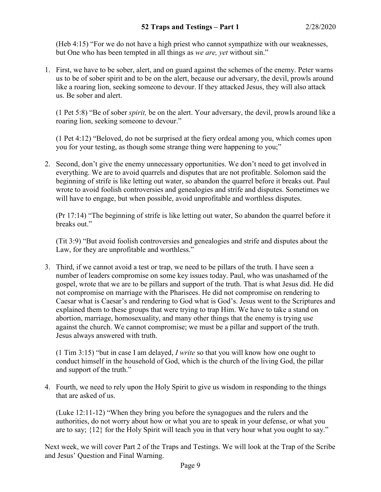(Heb 4:15) "For we do not have a high priest who cannot sympathize with our weaknesses, but One who has been tempted in all things as *we are, yet* without sin."

1. First, we have to be sober, alert, and on guard against the schemes of the enemy. Peter warns us to be of sober spirit and to be on the alert, because our adversary, the devil, prowls around like a roaring lion, seeking someone to devour. If they attacked Jesus, they will also attack us. Be sober and alert.

(1 Pet 5:8) "Be of sober *spirit,* be on the alert. Your adversary, the devil, prowls around like a roaring lion, seeking someone to devour."

(1 Pet 4:12) "Beloved, do not be surprised at the fiery ordeal among you, which comes upon you for your testing, as though some strange thing were happening to you;"

2. Second, don't give the enemy unnecessary opportunities. We don't need to get involved in everything. We are to avoid quarrels and disputes that are not profitable. Solomon said the beginning of strife is like letting out water, so abandon the quarrel before it breaks out. Paul wrote to avoid foolish controversies and genealogies and strife and disputes. Sometimes we will have to engage, but when possible, avoid unprofitable and worthless disputes.

(Pr 17:14) "The beginning of strife is like letting out water, So abandon the quarrel before it breaks out."

(Tit 3:9) "But avoid foolish controversies and genealogies and strife and disputes about the Law, for they are unprofitable and worthless."

3. Third, if we cannot avoid a test or trap, we need to be pillars of the truth. I have seen a number of leaders compromise on some key issues today. Paul, who was unashamed of the gospel, wrote that we are to be pillars and support of the truth. That is what Jesus did. He did not compromise on marriage with the Pharisees. He did not compromise on rendering to Caesar what is Caesar's and rendering to God what is God's. Jesus went to the Scriptures and explained them to these groups that were trying to trap Him. We have to take a stand on abortion, marriage, homosexuality, and many other things that the enemy is trying use against the church. We cannot compromise; we must be a pillar and support of the truth. Jesus always answered with truth.

(1 Tim 3:15) "but in case I am delayed, *I write* so that you will know how one ought to conduct himself in the household of God, which is the church of the living God, the pillar and support of the truth."

4. Fourth, we need to rely upon the Holy Spirit to give us wisdom in responding to the things that are asked of us.

(Luke 12:11-12) "When they bring you before the synagogues and the rulers and the authorities, do not worry about how or what you are to speak in your defense, or what you are to say; {12} for the Holy Spirit will teach you in that very hour what you ought to say."

Next week, we will cover Part 2 of the Traps and Testings. We will look at the Trap of the Scribe and Jesus' Question and Final Warning.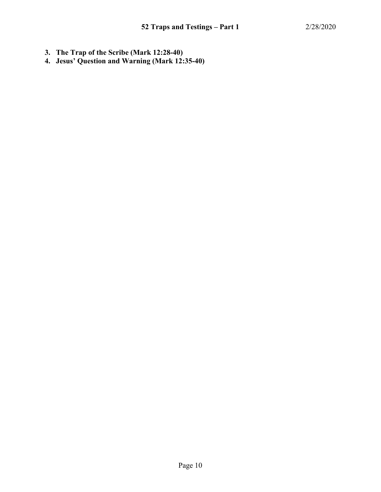- **3. The Trap of the Scribe (Mark 12:28-40)**
- **4. Jesus' Question and Warning (Mark 12:35-40)**